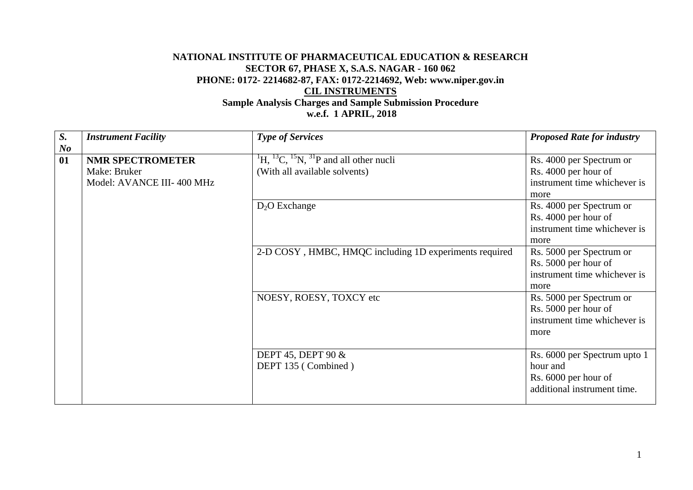## **NATIONAL INSTITUTE OF PHARMACEUTICAL EDUCATION & RESEARCH SECTOR 67, PHASE X, S.A.S. NAGAR - 160 062 PHONE: 0172- 2214682-87, FAX: 0172-2214692, Web: www.niper.gov.in CIL INSTRUMENTS Sample Analysis Charges and Sample Submission Procedure**

 **w.e.f. 1 APRIL, 2018**

| $S_{\cdot}$<br>N <sub>o</sub> | <b>Instrument Facility</b>                                           | <b>Type of Services</b>                                                                                                                                                                                | <b>Proposed Rate for industry</b>                                                                                                                                                                                                                                                                                                                                            |
|-------------------------------|----------------------------------------------------------------------|--------------------------------------------------------------------------------------------------------------------------------------------------------------------------------------------------------|------------------------------------------------------------------------------------------------------------------------------------------------------------------------------------------------------------------------------------------------------------------------------------------------------------------------------------------------------------------------------|
| 01                            | <b>NMR SPECTROMETER</b><br>Make: Bruker<br>Model: AVANCE III-400 MHz | $^{1}$ H, $^{13}$ C, $^{15}$ N, $^{31}$ P and all other nucli<br>(With all available solvents)<br>$D_2O$ Exchange<br>2-D COSY, HMBC, HMQC including 1D experiments required<br>NOESY, ROESY, TOXCY etc | Rs. 4000 per Spectrum or<br>Rs. 4000 per hour of<br>instrument time whichever is<br>more<br>Rs. 4000 per Spectrum or<br>Rs. 4000 per hour of<br>instrument time whichever is<br>more<br>Rs. 5000 per Spectrum or<br>Rs. 5000 per hour of<br>instrument time whichever is<br>more<br>Rs. 5000 per Spectrum or<br>Rs. 5000 per hour of<br>instrument time whichever is<br>more |
|                               |                                                                      | DEPT 45, DEPT 90 $&$<br>DEPT 135 (Combined)                                                                                                                                                            | Rs. 6000 per Spectrum upto 1<br>hour and<br>Rs. 6000 per hour of<br>additional instrument time.                                                                                                                                                                                                                                                                              |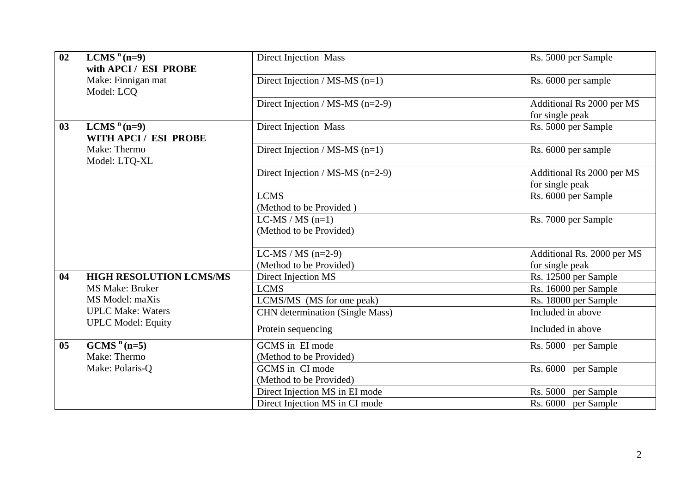| 02             | LCMS $n$ (n=9)                 | <b>Direct Injection Mass</b>           | Rs. 5000 per Sample        |
|----------------|--------------------------------|----------------------------------------|----------------------------|
|                | with APCI / ESI PROBE          |                                        |                            |
|                | Make: Finnigan mat             | Direct Injection / MS-MS $(n=1)$       | Rs. 6000 per sample        |
|                | Model: LCQ                     |                                        |                            |
|                |                                | Direct Injection / MS-MS $(n=2-9)$     | Additional Rs 2000 per MS  |
|                |                                |                                        | for single peak            |
| 03             | LCMS $n$ (n=9)                 | <b>Direct Injection Mass</b>           | Rs. 5000 per Sample        |
|                | WITH APCI / ESI PROBE          |                                        |                            |
|                | Make: Thermo                   | Direct Injection / MS-MS $(n=1)$       | Rs. 6000 per sample        |
|                | Model: LTO-XL                  |                                        |                            |
|                |                                | Direct Injection / MS-MS $(n=2-9)$     | Additional Rs 2000 per MS  |
|                |                                |                                        | for single peak            |
|                |                                | <b>LCMS</b>                            | Rs. 6000 per Sample        |
|                |                                | (Method to be Provided)                |                            |
|                |                                | $LC-MS / MS (n=1)$                     | Rs. 7000 per Sample        |
|                |                                | (Method to be Provided)                |                            |
|                |                                |                                        |                            |
|                |                                | LC-MS / MS $(n=2-9)$                   | Additional Rs. 2000 per MS |
|                |                                | (Method to be Provided)                | for single peak            |
| 04             | <b>HIGH RESOLUTION LCMS/MS</b> | Direct Injection MS                    | Rs. 12500 per Sample       |
|                | <b>MS Make: Bruker</b>         | <b>LCMS</b>                            | Rs. 16000 per Sample       |
|                | MS Model: maXis                | LCMS/MS (MS for one peak)              | Rs. 18000 per Sample       |
|                | <b>UPLC Make: Waters</b>       | <b>CHN</b> determination (Single Mass) | Included in above          |
|                | <b>UPLC Model: Equity</b>      |                                        |                            |
|                |                                | Protein sequencing                     | Included in above          |
| 0 <sub>5</sub> | $GCMSn(n=5)$                   | GCMS in EI mode                        | Rs. 5000 per Sample        |
|                | Make: Thermo                   | (Method to be Provided)                |                            |
|                | Make: Polaris-Q                | GCMS in CI mode                        | Rs. 6000 per Sample        |
|                |                                | (Method to be Provided)                |                            |
|                |                                | Direct Injection MS in EI mode         | Rs. 5000<br>per Sample     |
|                |                                | Direct Injection MS in CI mode         | Rs. 6000 per Sample        |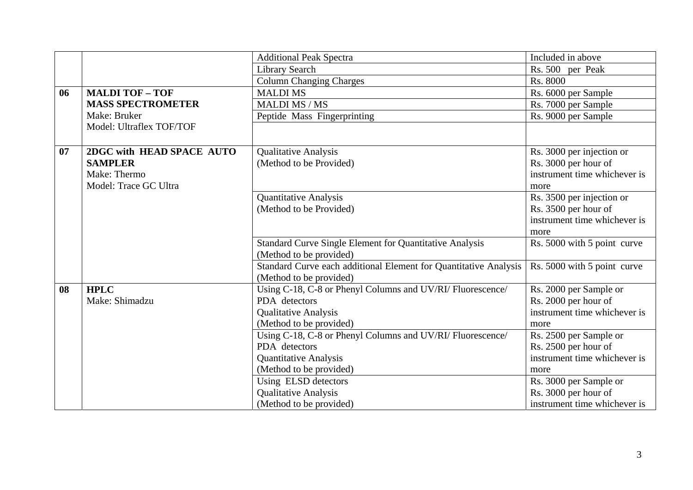|    |                                                                                                             | <b>Additional Peak Spectra</b>                                   | Included in above            |
|----|-------------------------------------------------------------------------------------------------------------|------------------------------------------------------------------|------------------------------|
|    |                                                                                                             | Library Search                                                   | Rs. 500 per Peak             |
|    |                                                                                                             | <b>Column Changing Charges</b>                                   | Rs. 8000                     |
| 06 | <b>MALDI TOF - TOF</b>                                                                                      | <b>MALDIMS</b>                                                   | Rs. 6000 per Sample          |
|    | <b>MASS SPECTROMETER</b>                                                                                    | <b>MALDI MS / MS</b>                                             | Rs. 7000 per Sample          |
|    | Make: Bruker                                                                                                | Peptide Mass Fingerprinting                                      | Rs. 9000 per Sample          |
|    | Model: Ultraflex TOF/TOF                                                                                    |                                                                  |                              |
|    |                                                                                                             |                                                                  |                              |
| 07 | 2DGC with HEAD SPACE AUTO                                                                                   | <b>Qualitative Analysis</b>                                      | Rs. 3000 per injection or    |
|    | <b>SAMPLER</b><br>(Method to be Provided)                                                                   |                                                                  | Rs. 3000 per hour of         |
|    | Make: Thermo                                                                                                |                                                                  | instrument time whichever is |
|    | Model: Trace GC Ultra                                                                                       |                                                                  | more                         |
|    |                                                                                                             | <b>Quantitative Analysis</b>                                     | Rs. 3500 per injection or    |
|    | (Method to be Provided)                                                                                     |                                                                  | Rs. 3500 per hour of         |
|    |                                                                                                             |                                                                  | instrument time whichever is |
|    |                                                                                                             |                                                                  | more                         |
|    |                                                                                                             | <b>Standard Curve Single Element for Quantitative Analysis</b>   | Rs. 5000 with 5 point curve  |
|    |                                                                                                             | (Method to be provided)                                          |                              |
|    |                                                                                                             | Standard Curve each additional Element for Quantitative Analysis | Rs. 5000 with 5 point curve  |
|    |                                                                                                             | (Method to be provided)                                          |                              |
| 08 | <b>HPLC</b>                                                                                                 | Using C-18, C-8 or Phenyl Columns and UV/RI/ Fluorescence/       | Rs. 2000 per Sample or       |
|    | Make: Shimadzu                                                                                              | PDA detectors                                                    | Rs. 2000 per hour of         |
|    | <b>Qualitative Analysis</b>                                                                                 |                                                                  | instrument time whichever is |
|    |                                                                                                             | (Method to be provided)                                          |                              |
|    | Using C-18, C-8 or Phenyl Columns and UV/RI/ Fluorescence/<br>PDA detectors<br><b>Quantitative Analysis</b> |                                                                  | Rs. 2500 per Sample or       |
|    |                                                                                                             |                                                                  | Rs. 2500 per hour of         |
|    |                                                                                                             |                                                                  | instrument time whichever is |
|    |                                                                                                             | (Method to be provided)                                          | more                         |
|    |                                                                                                             | Using ELSD detectors                                             | Rs. 3000 per Sample or       |
|    |                                                                                                             | <b>Qualitative Analysis</b>                                      | Rs. 3000 per hour of         |
|    |                                                                                                             | (Method to be provided)                                          | instrument time whichever is |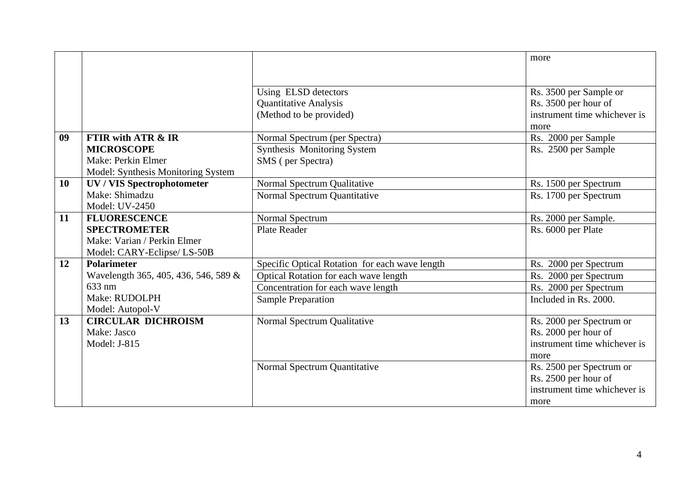|           |                                      |                                                | more                         |
|-----------|--------------------------------------|------------------------------------------------|------------------------------|
|           |                                      |                                                |                              |
|           |                                      | Using ELSD detectors                           | Rs. 3500 per Sample or       |
|           |                                      | <b>Quantitative Analysis</b>                   | Rs. 3500 per hour of         |
|           |                                      | (Method to be provided)                        | instrument time whichever is |
|           |                                      |                                                | more                         |
| 09        | <b>FTIR with ATR &amp; IR</b>        | Normal Spectrum (per Spectra)                  | Rs. 2000 per Sample          |
|           | <b>MICROSCOPE</b>                    | Synthesis Monitoring System                    | Rs. 2500 per Sample          |
|           | Make: Perkin Elmer                   | SMS (per Spectra)                              |                              |
|           | Model: Synthesis Monitoring System   |                                                |                              |
| <b>10</b> | <b>UV / VIS Spectrophotometer</b>    | Normal Spectrum Qualitative                    | Rs. 1500 per Spectrum        |
|           | Make: Shimadzu                       | Normal Spectrum Quantitative                   | Rs. 1700 per Spectrum        |
|           | Model: UV-2450                       |                                                |                              |
| 11        | <b>FLUORESCENCE</b>                  | Normal Spectrum                                | Rs. 2000 per Sample.         |
|           | <b>SPECTROMETER</b>                  | <b>Plate Reader</b>                            | Rs. 6000 per Plate           |
|           | Make: Varian / Perkin Elmer          |                                                |                              |
|           | Model: CARY-Eclipse/ LS-50B          |                                                |                              |
| 12        | <b>Polarimeter</b>                   | Specific Optical Rotation for each wave length | Rs. 2000 per Spectrum        |
|           | Wavelength 365, 405, 436, 546, 589 & | Optical Rotation for each wave length          | Rs. 2000 per Spectrum        |
|           | 633 nm                               | Concentration for each wave length             | Rs. 2000 per Spectrum        |
|           | Make: RUDOLPH                        | Sample Preparation                             | Included in Rs. 2000.        |
|           | Model: Autopol-V                     |                                                |                              |
| 13        | <b>CIRCULAR DICHROISM</b>            | Normal Spectrum Qualitative                    | Rs. 2000 per Spectrum or     |
|           | Make: Jasco                          |                                                | Rs. 2000 per hour of         |
|           | Model: J-815                         |                                                | instrument time whichever is |
|           |                                      |                                                | more                         |
|           |                                      | Normal Spectrum Quantitative                   | Rs. 2500 per Spectrum or     |
|           |                                      |                                                | Rs. 2500 per hour of         |
|           |                                      |                                                | instrument time whichever is |
|           |                                      |                                                | more                         |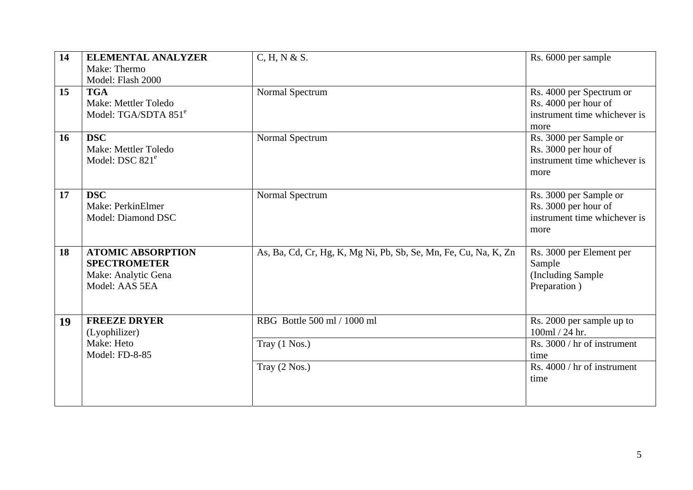| 14 | <b>ELEMENTAL ANALYZER</b><br>Make: Thermo<br>Model: Flash 2000                           | C, H, N & S.                                                    | Rs. 6000 per sample                                                                      |
|----|------------------------------------------------------------------------------------------|-----------------------------------------------------------------|------------------------------------------------------------------------------------------|
| 15 | <b>TGA</b><br>Make: Mettler Toledo<br>Model: TGA/SDTA 851 <sup>e</sup>                   | Normal Spectrum                                                 | Rs. 4000 per Spectrum or<br>Rs. 4000 per hour of<br>instrument time whichever is<br>more |
| 16 | <b>DSC</b><br>Make: Mettler Toledo<br>Model: DSC 821 <sup>e</sup>                        | Normal Spectrum                                                 | Rs. 3000 per Sample or<br>Rs. 3000 per hour of<br>instrument time whichever is<br>more   |
| 17 | <b>DSC</b><br>Make: PerkinElmer<br>Model: Diamond DSC                                    | Normal Spectrum                                                 | Rs. 3000 per Sample or<br>Rs. 3000 per hour of<br>instrument time whichever is<br>more   |
| 18 | <b>ATOMIC ABSORPTION</b><br><b>SPECTROMETER</b><br>Make: Analytic Gena<br>Model: AAS 5EA | As, Ba, Cd, Cr, Hg, K, Mg Ni, Pb, Sb, Se, Mn, Fe, Cu, Na, K, Zn | Rs. 3000 per Element per<br>Sample<br>(Including Sample)<br>Preparation)                 |
| 19 | <b>FREEZE DRYER</b><br>(Lyophilizer)                                                     | RBG Bottle 500 ml / 1000 ml                                     | Rs. 2000 per sample up to<br>100ml / 24 hr.                                              |
|    | Make: Heto<br>Model: FD-8-85                                                             | Tray (1 Nos.)                                                   | Rs. 3000 / hr of instrument<br>time                                                      |
|    |                                                                                          | Tray (2 Nos.)                                                   | Rs. 4000 / hr of instrument<br>time                                                      |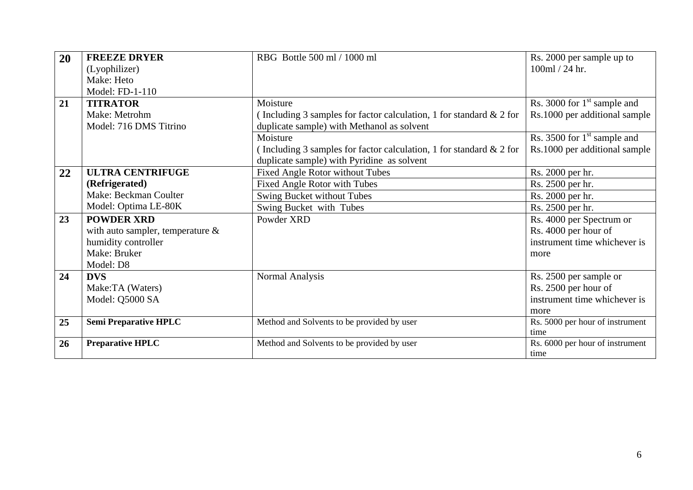| 20 | <b>FREEZE DRYER</b>                 | RBG Bottle 500 ml / 1000 ml                                            | Rs. 2000 per sample up to       |
|----|-------------------------------------|------------------------------------------------------------------------|---------------------------------|
|    | (Lyophilizer)                       |                                                                        | 100ml / 24 hr.                  |
|    | Make: Heto                          |                                                                        |                                 |
|    | Model: FD-1-110                     |                                                                        |                                 |
| 21 | <b>TITRATOR</b>                     | Moisture                                                               | Rs. 3000 for $1st$ sample and   |
|    | Make: Metrohm                       | (Including 3 samples for factor calculation, 1 for standard $\&$ 2 for | Rs.1000 per additional sample   |
|    | Model: 716 DMS Titrino              | duplicate sample) with Methanol as solvent                             |                                 |
|    |                                     | Moisture                                                               | Rs. 3500 for $1st$ sample and   |
|    |                                     | (Including 3 samples for factor calculation, 1 for standard $\&$ 2 for | Rs.1000 per additional sample   |
|    |                                     | duplicate sample) with Pyridine as solvent                             |                                 |
| 22 | <b>ULTRA CENTRIFUGE</b>             | <b>Fixed Angle Rotor without Tubes</b>                                 | Rs. 2000 per hr.                |
|    | (Refrigerated)                      | Fixed Angle Rotor with Tubes                                           | Rs. 2500 per hr.                |
|    | Make: Beckman Coulter               | Swing Bucket without Tubes                                             | Rs. 2000 per hr.                |
|    | Model: Optima LE-80K                | Swing Bucket with Tubes                                                | Rs. 2500 per hr.                |
| 23 | <b>POWDER XRD</b>                   | Powder XRD                                                             | Rs. 4000 per Spectrum or        |
|    | with auto sampler, temperature $\&$ |                                                                        | Rs. 4000 per hour of            |
|    | humidity controller                 |                                                                        | instrument time whichever is    |
|    | Make: Bruker                        |                                                                        | more                            |
|    | Model: D8                           |                                                                        |                                 |
| 24 | <b>DVS</b>                          | Normal Analysis                                                        | Rs. 2500 per sample or          |
|    | Make:TA (Waters)                    |                                                                        | Rs. 2500 per hour of            |
|    | Model: Q5000 SA                     |                                                                        | instrument time whichever is    |
|    |                                     |                                                                        | more                            |
| 25 | <b>Semi Preparative HPLC</b>        | Method and Solvents to be provided by user                             | Rs. 5000 per hour of instrument |
|    |                                     |                                                                        | time                            |
| 26 | <b>Preparative HPLC</b>             | Method and Solvents to be provided by user                             | Rs. 6000 per hour of instrument |
|    |                                     |                                                                        | time                            |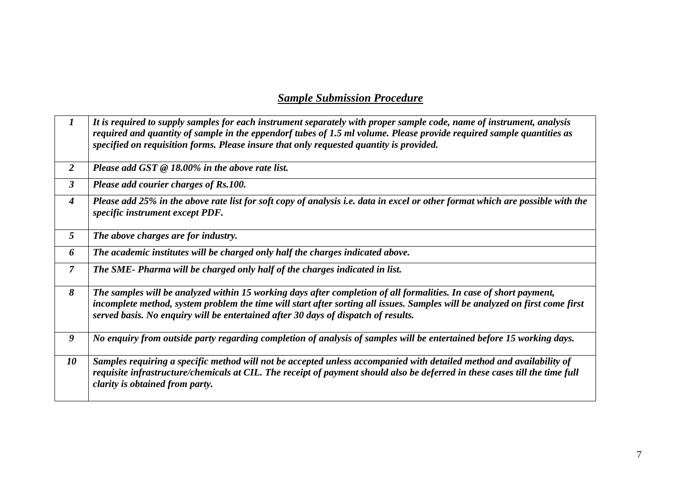## *Sample Submission Procedure*

| $\bm{l}$             | It is required to supply samples for each instrument separately with proper sample code, name of instrument, analysis<br>required and quantity of sample in the eppendorf tubes of 1.5 ml volume. Please provide required sample quantities as<br>specified on requisition forms. Please insure that only requested quantity is provided. |  |  |
|----------------------|-------------------------------------------------------------------------------------------------------------------------------------------------------------------------------------------------------------------------------------------------------------------------------------------------------------------------------------------|--|--|
| $\overline{2}$       | Please add GST $@$ 18.00% in the above rate list.                                                                                                                                                                                                                                                                                         |  |  |
| $\boldsymbol{\beta}$ | Please add courier charges of Rs.100.                                                                                                                                                                                                                                                                                                     |  |  |
| $\boldsymbol{4}$     | Please add 25% in the above rate list for soft copy of analysis i.e. data in excel or other format which are possible with the<br>specific instrument except PDF.                                                                                                                                                                         |  |  |
| 5 <sup>5</sup>       | The above charges are for industry.                                                                                                                                                                                                                                                                                                       |  |  |
| 6                    | The academic institutes will be charged only half the charges indicated above.                                                                                                                                                                                                                                                            |  |  |
| $\overline{7}$       | The SME- Pharma will be charged only half of the charges indicated in list.                                                                                                                                                                                                                                                               |  |  |
| 8                    | The samples will be analyzed within 15 working days after completion of all formalities. In case of short payment,<br>incomplete method, system problem the time will start after sorting all issues. Samples will be analyzed on first come first<br>served basis. No enquiry will be entertained after 30 days of dispatch of results.  |  |  |
| 9                    | No enquiry from outside party regarding completion of analysis of samples will be entertained before 15 working days.                                                                                                                                                                                                                     |  |  |
| 10                   | Samples requiring a specific method will not be accepted unless accompanied with detailed method and availability of<br>requisite infrastructure/chemicals at CIL. The receipt of payment should also be deferred in these cases till the time full<br>clarity is obtained from party.                                                    |  |  |